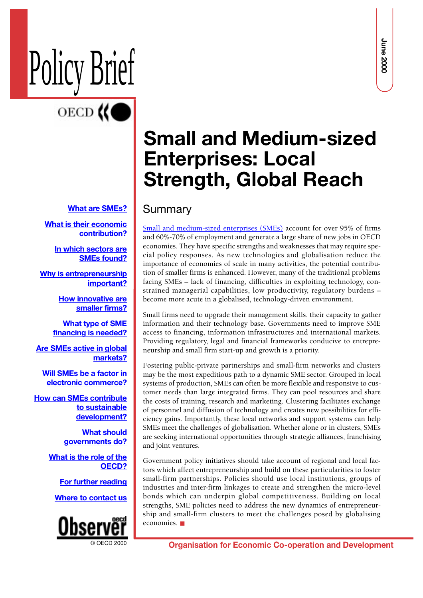# Policy Brief

### **[What are SMEs?](#page-1-0)**

**[What is their economic](#page-1-0) [contribution?](#page-1-0)**

**[In which sectors are](#page-1-0) [SMEs found?](#page-1-0)**

**[Why is entrepreneurship](#page-2-0) [important?](#page-2-0)**

> **[How innovative are](#page-2-0) [smaller firms?](#page-2-0)**

**[What type of SME](#page-3-0) [financing is needed?](#page-3-0)**

**[Are SMEs active in global](#page-3-0) [markets?](#page-3-0)**

**[Will SMEs be a factor in](#page-4-0) [electronic commerce?](#page-4-0)**

**[How can SMEs contribute](#page-5-0) to sustainable [development?](#page-5-0)**

> **[What should](#page-5-0) [governments do?](#page-5-0)**

**[What is the role of the](#page-6-0) [OECD?](#page-6-0)**

**[For further reading](#page-7-0)**

**[Where to contact us](#page-7-0)**



# **Small and Medium-sized Enterprises: Local Strength, Global Reach**

### Summary

[Small and medium-sized enterprises \(SMEs\)](http://www.oecd.org/dsti/sti/industry/smes/index.htm) account for over 95% of firms and 60%-70% of employment and generate a large share of new jobs in OECD economies. They have specific strengths and weaknesses that may require special policy responses. As new technologies and globalisation reduce the importance of economies of scale in many activities, the potential contribution of smaller firms is enhanced. However, many of the traditional problems facing SMEs – lack of financing, difficulties in exploiting technology, constrained managerial capabilities, low productivity, regulatory burdens – become more acute in a globalised, technology-driven environment.

Small firms need to upgrade their management skills, their capacity to gather information and their technology base. Governments need to improve SME access to financing, information infrastructures and international markets. Providing regulatory, legal and financial frameworks conducive to entrepreneurship and small firm start-up and growth is a priority.

**Organisation Final Corresponses and the effective corresponding to the corresponding of the co-operation of the effective corresponding to the effective corresponding to the effective corresponding to the effective corres** Fostering public-private partnerships and small-firm networks and clusters may be the most expeditious path to a dynamic SME sector. Grouped in local systems of production, SMEs can often be more flexible and responsive to customer needs than large integrated firms. They can pool resources and share the costs of training, research and marketing. Clustering facilitates exchange of personnel and diffusion of technology and creates new possibilities for efficiency gains. Importantly, these local networks and support systems can help SMEs meet the challenges of globalisation. Whether alone or in clusters, SMEs are seeking international opportunities through strategic alliances, franchising and joint ventures.

Government policy initiatives should take account of regional and local factors which affect entrepreneurship and build on these particularities to foster small-firm partnerships. Policies should use local institutions, groups of industries and inter-firm linkages to create and strengthen the micro-level bonds which can underpin global competitiveness. Building on local strengths, SME policies need to address the new dynamics of entrepreneurship and small-firm clusters to meet the challenges posed by globalising economies. ■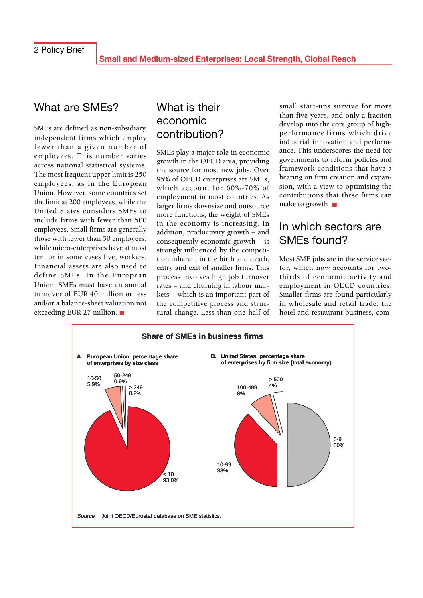### <span id="page-1-0"></span>What are SMEs?

SMEs are defined as non-subsidiary, independent firms which employ fewer than a given number of employees. This number varies across national statistical systems. The most frequent upper limit is 250 employees, as in the European Union. However, some countries set the limit at 200 employees, while the United States considers SMEs to include firms with fewer than 500 employees. Small firms are generally those with fewer than 50 employees, while micro-enterprises have at most ten, or in some cases five, workers. Financial assets are also used to define SMEs. In the European Union, SMEs must have an annual turnover of EUR 40 million or less and/or a balance-sheet valuation not exceeding EUR 27 million. ■

## What is their economic contribution?

SMEs play a major role in economic growth in the OECD area, providing the source for most new jobs. Over 95% of OECD enterprises are SMEs, which account for 60%-70% of employment in most countries. As larger firms downsize and outsource more functions, the weight of SMEs in the economy is increasing. In addition, productivity growth – and consequently economic growth – is strongly influenced by the competition inherent in the birth and death, entry and exit of smaller firms. This process involves high job turnover rates – and churning in labour markets – which is an important part of the competitive process and structural change. Less than one-half of small start-ups survive for more than five years, and only a fraction develop into the core group of highperformance firms which drive industrial innovation and performance. This underscores the need for governments to reform policies and framework conditions that have a bearing on firm creation and expansion, with a view to optimising the contributions that these firms can make to growth. ■

### In which sectors are SMEs found?

Most SME jobs are in the service sector, which now accounts for twothirds of economic activity and employment in OECD countries. Smaller firms are found particularly in wholesale and retail trade, the hotel and restaurant business, com-

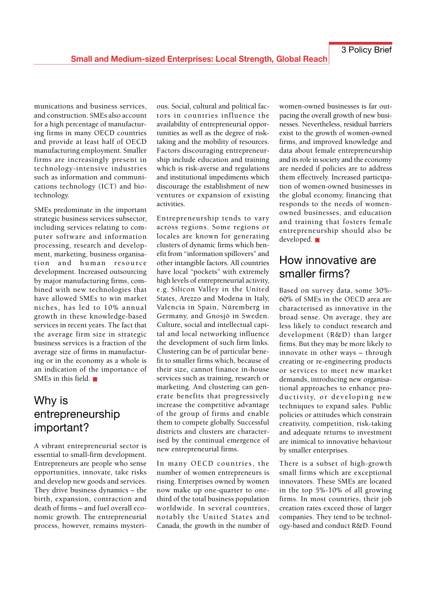<span id="page-2-0"></span>munications and business services, and construction. SMEs also account for a high percentage of manufacturing firms in many OECD countries and provide at least half of OECD manufacturing employment. Smaller firms are increasingly present in technology-intensive industries such as information and communications technology (ICT) and biotechnology.

SMEs predominate in the important strategic business services subsector, including services relating to computer software and information processing, research and development, marketing, business organisation and human resource development. Increased outsourcing by major manufacturing firms, combined with new technologies that have allowed SMEs to win market niches, has led to 10% annual growth in these knowledge-based services in recent years. The fact that the average firm size in strategic business services is a fraction of the average size of firms in manufacturing or in the economy as a whole is an indication of the importance of SMEs in this field. ■

# Why is entrepreneurship important?

A vibrant entrepreneurial sector is essential to small-firm development. Entrepreneurs are people who sense opportunities, innovate, take risks and develop new goods and services. They drive business dynamics – the birth, expansion, contraction and death of firms – and fuel overall economic growth. The entrepreneurial process, however, remains mysterious. Social, cultural and political factors in countries influence the availability of entrepreneurial opportunities as well as the degree of risktaking and the mobility of resources. Factors discouraging entrepreneurship include education and training which is risk-averse and regulations and institutional impediments which discourage the establishment of new ventures or expansion of existing activities.

Entrepreneurship tends to vary across regions. Some regions or locales are known for generating clusters of dynamic firms which benefit from "information spillovers" and other intangible factors. All countries have local "pockets" with extremely high levels of entrepreneurial activity, e.g. Silicon Valley in the United States, Arezzo and Modena in Italy, Valencia in Spain, Nüremberg in Germany, and Gnosjö in Sweden. Culture, social and intellectual capital and local networking influence the development of such firm links. Clustering can be of particular benefit to smaller firms which, because of their size, cannot finance in-house services such as training, research or marketing. And clustering can generate benefits that progressively increase the competitive advantage of the group of firms and enable them to compete globally. Successful districts and clusters are characterised by the continual emergence of new entrepreneurial firms.

In many OECD countries, the number of women entrepreneurs is rising. Enterprises owned by women now make up one-quarter to onethird of the total business population worldwide. In several countries, notably the United States and Canada, the growth in the number of women-owned businesses is far outpacing the overall growth of new businesses. Nevertheless, residual barriers exist to the growth of women-owned firms, and improved knowledge and data about female entrepreneurship and its role in society and the economy are needed if policies are to address them effectively. Increased participation of women-owned businesses in the global economy, financing that responds to the needs of womenowned businesses, and education and training that fosters female entrepreneurship should also be developed. ■

### How innovative are smaller firms?

Based on survey data, some 30%- 60% of SMEs in the OECD area are characterised as innovative in the broad sense. On average, they are less likely to conduct research and development (R&D) than larger firms. But they may be more likely to innovate in other ways – through creating or re-engineering products or services to meet new market demands, introducing new organisational approaches to enhance productivity, or developing new techniques to expand sales. Public policies or attitudes which constrain creativity, competition, risk-taking and adequate returns to investment are inimical to innovative behaviour by smaller enterprises.

There is a subset of high-growth small firms which are exceptional innovators. These SMEs are located in the top 5%-10% of all growing firms. In most countries, their job creation rates exceed those of larger companies. They tend to be technology-based and conduct R&D. Found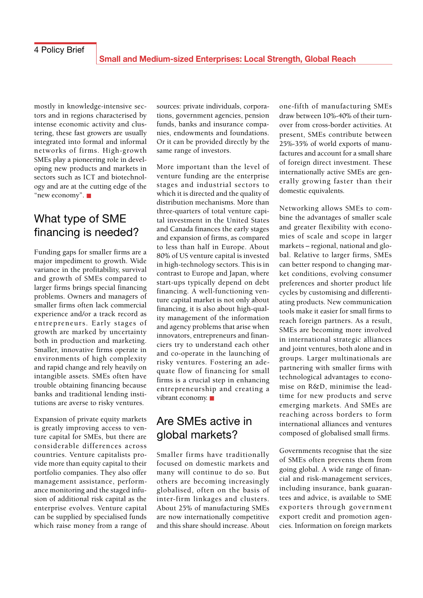<span id="page-3-0"></span>mostly in knowledge-intensive sectors and in regions characterised by intense economic activity and clustering, these fast growers are usually integrated into formal and informal networks of firms. High-growth SMEs play a pioneering role in developing new products and markets in sectors such as ICT and biotechnology and are at the cutting edge of the "new economy". ■

### What type of SME financing is needed?

Funding gaps for smaller firms are a major impediment to growth. Wide variance in the profitability, survival and growth of SMEs compared to larger firms brings special financing problems. Owners and managers of smaller firms often lack commercial experience and/or a track record as entrepreneurs. Early stages of growth are marked by uncertainty both in production and marketing. Smaller, innovative firms operate in environments of high complexity and rapid change and rely heavily on intangible assets. SMEs often have trouble obtaining financing because banks and traditional lending institutions are averse to risky ventures.

Expansion of private equity markets is greatly improving access to venture capital for SMEs, but there are considerable differences across countries. Venture capitalists provide more than equity capital to their portfolio companies. They also offer management assistance, performance monitoring and the staged infusion of additional risk capital as the enterprise evolves. Venture capital can be supplied by specialised funds which raise money from a range of

sources: private individuals, corporations, government agencies, pension funds, banks and insurance companies, endowments and foundations. Or it can be provided directly by the same range of investors.

More important than the level of venture funding are the enterprise stages and industrial sectors to which it is directed and the quality of distribution mechanisms. More than three-quarters of total venture capital investment in the United States and Canada finances the early stages and expansion of firms, as compared to less than half in Europe. About 80% of US venture capital is invested in high-technology sectors. This is in contrast to Europe and Japan, where start-ups typically depend on debt financing. A well-functioning venture capital market is not only about financing, it is also about high-quality management of the information and agency problems that arise when innovators, entrepreneurs and financiers try to understand each other and co-operate in the launching of risky ventures. Fostering an adequate flow of financing for small firms is a crucial step in enhancing entrepreneurship and creating a vibrant economy. ■

# Are SMEs active in global markets?

Smaller firms have traditionally focused on domestic markets and many will continue to do so. But others are becoming increasingly globalised, often on the basis of inter-firm linkages and clusters. About 25% of manufacturing SMEs are now internationally competitive and this share should increase. About one-fifth of manufacturing SMEs draw between 10%-40% of their turnover from cross-border activities. At present, SMEs contribute between 25%-35% of world exports of manufactures and account for a small share of foreign direct investment. These internationally active SMEs are generally growing faster than their domestic equivalents.

Networking allows SMEs to combine the advantages of smaller scale and greater flexibility with economies of scale and scope in larger markets – regional, national and global. Relative to larger firms, SMEs can better respond to changing market conditions, evolving consumer preferences and shorter product life cycles by customising and differentiating products. New communication tools make it easier for small firms to reach foreign partners. As a result, SMEs are becoming more involved in international strategic alliances and joint ventures, both alone and in groups. Larger multinationals are partnering with smaller firms with technological advantages to economise on R&D, minimise the leadtime for new products and serve emerging markets. And SMEs are reaching across borders to form international alliances and ventures composed of globalised small firms.

Governments recognise that the size of SMEs often prevents them from going global. A wide range of financial and risk-management services, including insurance, bank guarantees and advice, is available to SME exporters through government export credit and promotion agencies. Information on foreign markets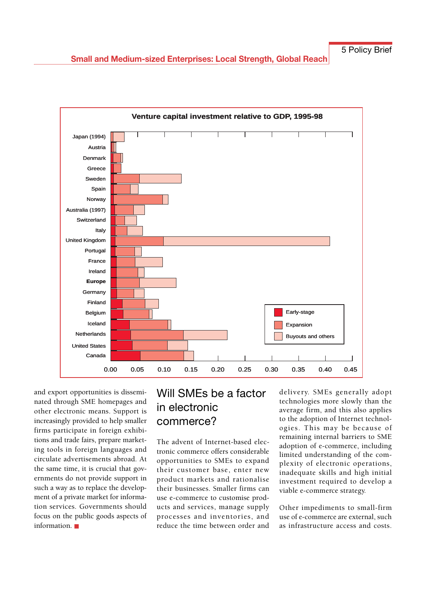<span id="page-4-0"></span>

and export opportunities is disseminated through SME homepages and other electronic means. Support is increasingly provided to help smaller firms participate in foreign exhibitions and trade fairs, prepare marketing tools in foreign languages and circulate advertisements abroad. At the same time, it is crucial that governments do not provide support in such a way as to replace the development of a private market for information services. Governments should focus on the public goods aspects of information. ■

# Will SMEs be a factor in electronic commerce?

The advent of Internet-based electronic commerce offers considerable opportunities to SMEs to expand their customer base, enter new product markets and rationalise their businesses. Smaller firms can use e-commerce to customise products and services, manage supply processes and inventories, and reduce the time between order and

delivery. SMEs generally adopt technologies more slowly than the average firm, and this also applies to the adoption of Internet technologies. This may be because of remaining internal barriers to SME adoption of e-commerce, including limited understanding of the complexity of electronic operations, inadequate skills and high initial investment required to develop a viable e-commerce strategy.

Other impediments to small-firm use of e-commerce are external, such as infrastructure access and costs.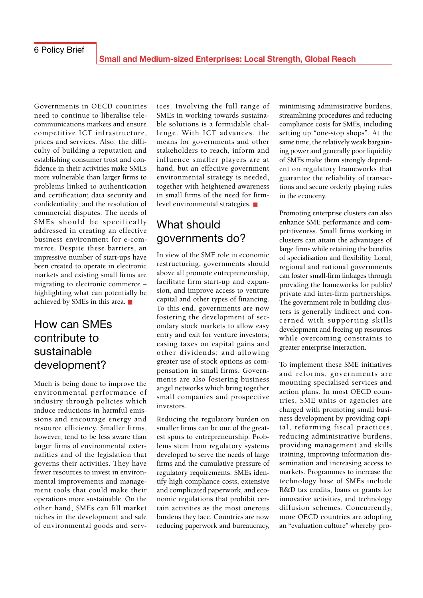<span id="page-5-0"></span>Governments in OECD countries need to continue to liberalise telecommunications markets and ensure competitive ICT infrastructure, prices and services. Also, the difficulty of building a reputation and establishing consumer trust and confidence in their activities make SMEs more vulnerable than larger firms to problems linked to authentication and certification; data security and confidentiality; and the resolution of commercial disputes. The needs of SMEs should be specifically addressed in creating an effective business environment for e-commerce. Despite these barriers, an impressive number of start-ups have been created to operate in electronic markets and existing small firms are migrating to electronic commerce – highlighting what can potentially be achieved by SMEs in this area. ■

### How can SMEs contribute to sustainable development?

Much is being done to improve the environmental performance of industry through policies which induce reductions in harmful emissions and encourage energy and resource efficiency. Smaller firms, however, tend to be less aware than larger firms of environmental externalities and of the legislation that governs their activities. They have fewer resources to invest in environmental improvements and management tools that could make their operations more sustainable. On the other hand, SMEs can fill market niches in the development and sale of environmental goods and services. Involving the full range of SMEs in working towards sustainable solutions is a formidable challenge. With ICT advances, the means for governments and other stakeholders to reach, inform and influence smaller players are at hand, but an effective government environmental strategy is needed, together with heightened awareness in small firms of the need for firmlevel environmental strategies. ■

# What should governments do?

In view of the SME role in economic restructuring, governments should above all promote entrepreneurship, facilitate firm start-up and expansion, and improve access to venture capital and other types of financing. To this end, governments are now fostering the development of secondary stock markets to allow easy entry and exit for venture investors; easing taxes on capital gains and other dividends; and allowing greater use of stock options as compensation in small firms. Governments are also fostering business angel networks which bring together small companies and prospective investors.

Reducing the regulatory burden on smaller firms can be one of the greatest spurs to entrepreneurship. Problems stem from regulatory systems developed to serve the needs of large firms and the cumulative pressure of regulatory requirements. SMEs identify high compliance costs, extensive and complicated paperwork, and economic regulations that prohibit certain activities as the most onerous burdens they face. Countries are now reducing paperwork and bureaucracy, minimising administrative burdens, streamlining procedures and reducing compliance costs for SMEs, including setting up "one-stop shops". At the same time, the relatively weak bargaining power and generally poor liquidity of SMEs make them strongly dependent on regulatory frameworks that guarantee the reliability of transactions and secure orderly playing rules in the economy.

Promoting enterprise clusters can also enhance SME performance and competitiveness. Small firms working in clusters can attain the advantages of large firms while retaining the benefits of specialisation and flexibility. Local, regional and national governments can foster small-firm linkages through providing the frameworks for public/ private and inter-firm partnerships. The government role in building clusters is generally indirect and concerned with supporting skills development and freeing up resources while overcoming constraints to greater enterprise interaction.

To implement these SME initiatives and reforms, governments are mounting specialised services and action plans. In most OECD countries, SME units or agencies are charged with promoting small business development by providing capital, reforming fiscal practices, reducing administrative burdens, providing management and skills training, improving information dissemination and increasing access to markets. Programmes to increase the technology base of SMEs include R&D tax credits, loans or grants for innovative activities, and technology diffusion schemes. Concurrently, more OECD countries are adopting an "evaluation culture" whereby pro-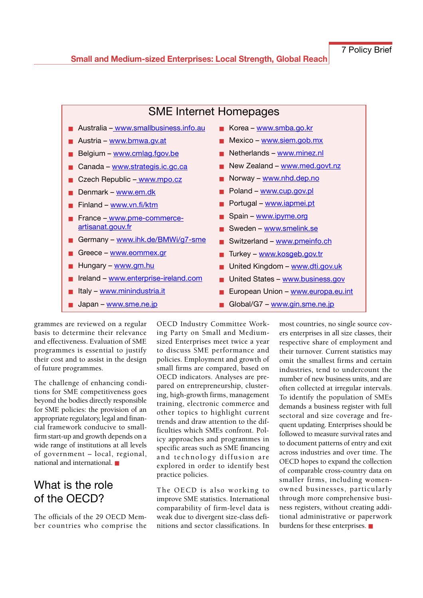<span id="page-6-0"></span>

grammes are reviewed on a regular basis to determine their relevance and effectiveness. Evaluation of SME programmes is essential to justify their cost and to assist in the design of future programmes.

The challenge of enhancing conditions for SME competitiveness goes beyond the bodies directly responsible for SME policies: the provision of an appropriate regulatory, legal and financial framework conducive to smallfirm start-up and growth depends on a wide range of institutions at all levels of government – local, regional, national and international. ■

# What is the role of the OECD?

The officials of the 29 OECD Member countries who comprise the

OECD Industry Committee Working Party on Small and Mediumsized Enterprises meet twice a year to discuss SME performance and policies. Employment and growth of small firms are compared, based on OECD indicators. Analyses are prepared on entrepreneurship, clustering, high-growth firms, management training, electronic commerce and other topics to highlight current trends and draw attention to the difficulties which SMEs confront. Policy approaches and programmes in specific areas such as SME financing and technology diffusion are explored in order to identify best practice policies.

The OECD is also working to improve SME statistics. International comparability of firm-level data is weak due to divergent size-class definitions and sector classifications. In most countries, no single source covers enterprises in all size classes, their respective share of employment and their turnover. Current statistics may omit the smallest firms and certain industries, tend to undercount the number of new business units, and are often collected at irregular intervals. To identify the population of SMEs demands a business register with full sectoral and size coverage and frequent updating. Enterprises should be followed to measure survival rates and to document patterns of entry and exit across industries and over time. The OECD hopes to expand the collection of comparable cross-country data on smaller firms, including womenowned businesses, particularly through more comprehensive business registers, without creating additional administrative or paperwork burdens for these enterprises. ■